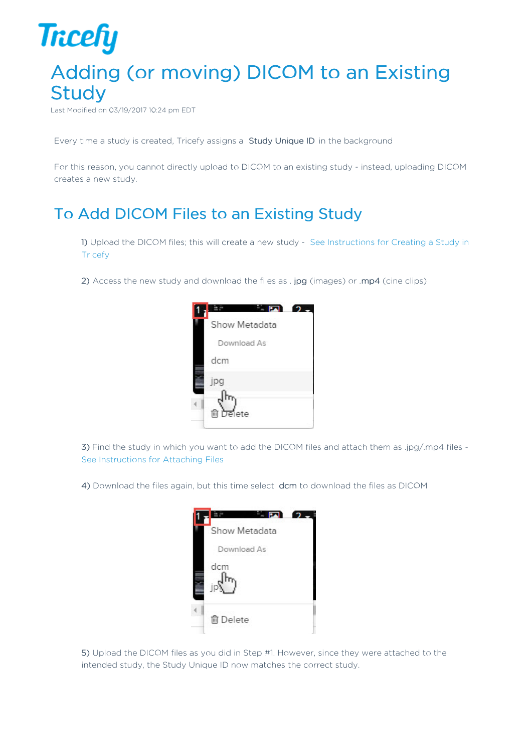## **Tricefy** Adding (or moving) DICOM to an Existing **Study**

Last Modified on 03/19/2017 10:24 pm EDT

Every time a study is created, Tricefy assigns a Study Unique ID in the background

For this reason, you cannot directly upload to DICOM to an existing study - instead, uploading DICOM creates a new study.

## To Add DICOM Files to an Existing Study

1) Upload the DICOM files; this will create a new study - See Instructions for Creating a Study in **Tricefy** 

2) Access the new study and download the files as . jpg (images) or .mp4 (cine clips)



3) Find the study in which you want to add the DICOM files and attach them as .jpg/.mp4 files - See Instructions for Attaching Files

4) Download the files again, but this time select dcm to download the files as DICOM



5) Upload the DICOM files as you did in Step #1. However, since they were attached to the intended study, the Study Unique ID now matches the correct study.